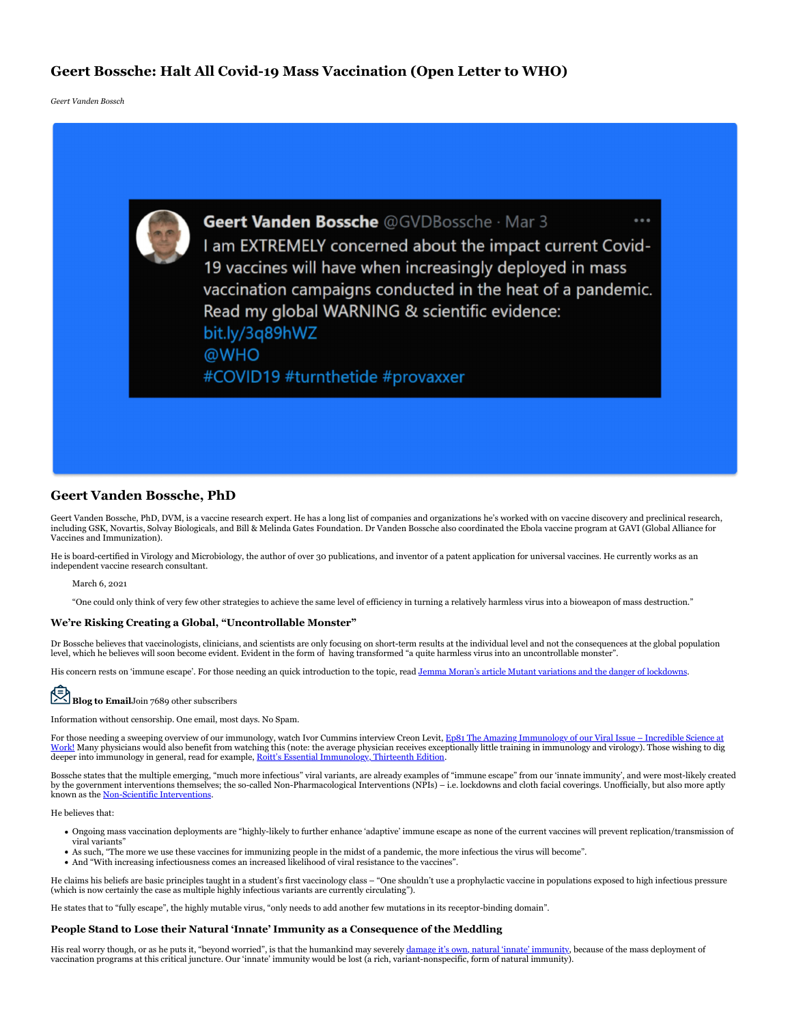# **Geert Bossche: Halt All Covid-19 Mass Vaccination (Open Letter to WHO)**

*Geert Vanden Bossch*



# **Geert Vanden Bossche, PhD**

Geert Vanden Bossche, PhD, DVM, is a vaccine research expert. He has a long list of companies and organizations he's worked with on vaccine discovery and preclinical research, including GSK, Novartis, Solvay Biologicals, and Bill & Melinda Gates Foundation. Dr Vanden Bossche also coordinated the Ebola vaccine program at GAVI (Global Alliance for Vaccines and Immunization).

He is board-certified in Virology and Microbiology, the author of over 30 publications, and inventor of a patent application for universal vaccines. He currently works as an independent vaccine research consultant.

#### March 6, 2021

"One could only think of very few other strategies to achieve the same level of efficiency in turning a relatively harmless virus into a bioweapon of mass destruction."

#### **We're Risking Creating a Global, "Uncontrollable Monster"**

Dr Bossche believes that vaccinologists, clinicians, and scientists are only focusing on short-term results at the individual level and not the consequences at the global population level, which he believes will soon become evident. Evident in the form of having transformed "a quite harmless virus into an uncontrollable monster".

His concern rests on 'immune escape'. For those needing an quick introduction to the topic, read Jemma Moran's article Mutant variations and the danger of lockdowns.

# **Blog to Email**Join 7689 other subscribers

Information without censorship. One email, most days. No Spam.

For those needing a sweeping overview of our immunology, watch Ivor Cummins interview Creon Levit, Ep81 The Amazing Immunology of our Viral Issue – Incredible Science at Work! Many physicians would also benefit from watching this (note: the average physician receives exceptionally little training in immunology and virology). Those wishing to dig deeper into immunology in general, read for example, Roitt's Essential Immunology, Thirteenth Edition.

Bossche states that the multiple emerging, "much more infectious" viral variants, are already examples of "immune escape" from our 'innate immunity', and were most-likely created by the government interventions themselves; the so-called Non-Pharmacological Interventions (NPIs) – i.e. lockdowns and cloth facial coverings. Unofficially, but also more aptly known as the Non-Scientific Interventions.

He believes that:

- Ongoing mass vaccination deployments are "highly-likely to further enhance 'adaptive' immune escape as none of the current vaccines will prevent replication/transmission of
- viral variants" As such, "The more we use these vaccines for immunizing people in the midst of a pandemic, the more infectious the virus will become".
- And "With increasing infectiousness comes an increased likelihood of viral resistance to the vaccines".

He claims his beliefs are basic principles taught in a student's first vaccinology class – "One shouldn't use a prophylactic vaccine in populations exposed to high infectious pressure (which is now certainly the case as multiple highly infectious variants are currently circulating").

He states that to "fully escape", the highly mutable virus, "only needs to add another few mutations in its receptor-binding domain".

#### **People Stand to Lose their Natural 'Innate' Immunity as a Consequence of the Meddling**

His real worry though, or as he puts it, "beyond worried", is that the humankind may severely damage it's own, natural 'innate' immunity, because of the mass deployment of vaccination programs at this critical juncture. Our 'innate' immunity would be lost (a rich, variant-nonspecific, form of natural immunity).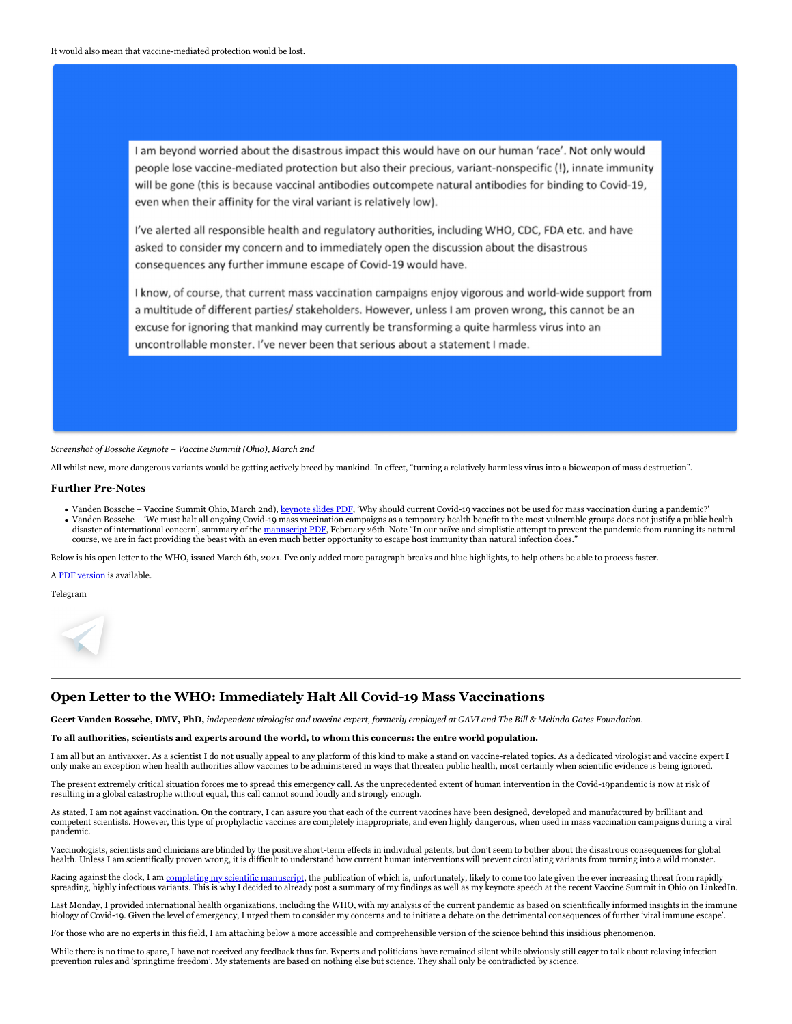I am beyond worried about the disastrous impact this would have on our human 'race'. Not only would people lose vaccine-mediated protection but also their precious, variant-nonspecific (!), innate immunity will be gone (this is because vaccinal antibodies outcompete natural antibodies for binding to Covid-19, even when their affinity for the viral variant is relatively low).

I've alerted all responsible health and regulatory authorities, including WHO, CDC, FDA etc. and have asked to consider my concern and to immediately open the discussion about the disastrous consequences any further immune escape of Covid-19 would have.

I know, of course, that current mass vaccination campaigns enjoy vigorous and world-wide support from a multitude of different parties/ stakeholders. However, unless I am proven wrong, this cannot be an excuse for ignoring that mankind may currently be transforming a quite harmless virus into an uncontrollable monster. I've never been that serious about a statement I made.

*Screenshot of Bossche Keynote – Vaccine Summit (Ohio), March 2nd*

All whilst new, more dangerous variants would be getting actively breed by mankind. In effect, "turning a relatively harmless virus into a bioweapon of mass destruction".

#### **Further Pre-Notes**

• Vanden Bossche - Vaccine Summit Ohio, March 2nd), keynote slides PDF, 'Why should current Covid-19 vaccines not be used for mass vaccination during a pandemic?' Vanden Bossche – 'We must halt all ongoing Covid-19 mass vaccination campaigns as a temporary health benefit to the most vulnerable groups does not justify a public health disaster of international concern', summary of the manuscript PDF. February 26th. Note "In our naïve and simplistic attempt to prevent the pandemic from running its natural course, we are in fact providing the beast with an even much better opportunity to escape host immunity than natural infection does."

Below is his open letter to the WHO, issued March 6th, 2021. I've only added more paragraph breaks and blue highlights, to help others be able to process faster.

A PDF version is available.

Telegram



# **Open Letter to the WHO: Immediately Halt All Covid-19 Mass Vaccinations**

**Geert Vanden Bossche, DMV, PhD,** *independent virologist and vaccine expert, formerly employed at GAVI and The Bill & Melinda Gates Foundation.*

#### **To all authorities, scientists and experts around the world, to whom this concerns: the entre world population.**

I am all but an antivaxxer. As a scientist I do not usually appeal to any platform of this kind to make a stand on vaccine-related topics. As a dedicated virologist and vaccine expert I only make an exception when health authorities allow vaccines to be administered in ways that threaten public health, most certainly when scientific evidence is being ignored.

The present extremely critical situation forces me to spread this emergency call. As the unprecedented extent of human intervention in the Covid-19pandemic is now at risk of resulting in a global catastrophe without equal, this call cannot sound loudly and strongly enough.

As stated, I am not against vaccination. On the contrary, I can assure you that each of the current vaccines have been designed, developed and manufactured by brilliant and competent scientists. However, this type of prophylactic vaccines are completely inappropriate, and even highly dangerous, when used in mass vaccination campaigns during a viral pandemic.

Vaccinologists, scientists and clinicians are blinded by the positive short-term effects in individual patents, but don't seem to bother about the disastrous consequences for global health. Unless I am scientifically proven wrong, it is difficult to understand how current human interventions will prevent circulating variants from turning into a wild monste

Racing against the clock, I am completing my scientific manuscript, the publication of which is, unfortunately, likely to come too late given the ever increasing threat from rapidly spreading, highly infectious variants. This is why I decided to already post a summary of my findings as well as my keynote speech at the recent Vaccine Summit in Ohio on LinkedIn.

Last Monday, I provided international health organizations, including the WHO, with my analysis of the current pandemic as based on scientifically informed insights in the immune biology of Covid-19. Given the level of emergency, I urged them to consider my concerns and to initiate a debate on the detrimental consequences of further 'viral immune escape'.

For those who are no experts in this field, I am attaching below a more accessible and comprehensible version of the science behind this insidious phenomenon.

While there is no time to spare, I have not received any feedback thus far. Experts and politicians have remained silent while obviously still eager to talk about relaxing infection prevention rules and 'springtime freedom'. My statements are based on nothing else but science. They shall only be contradicted by science.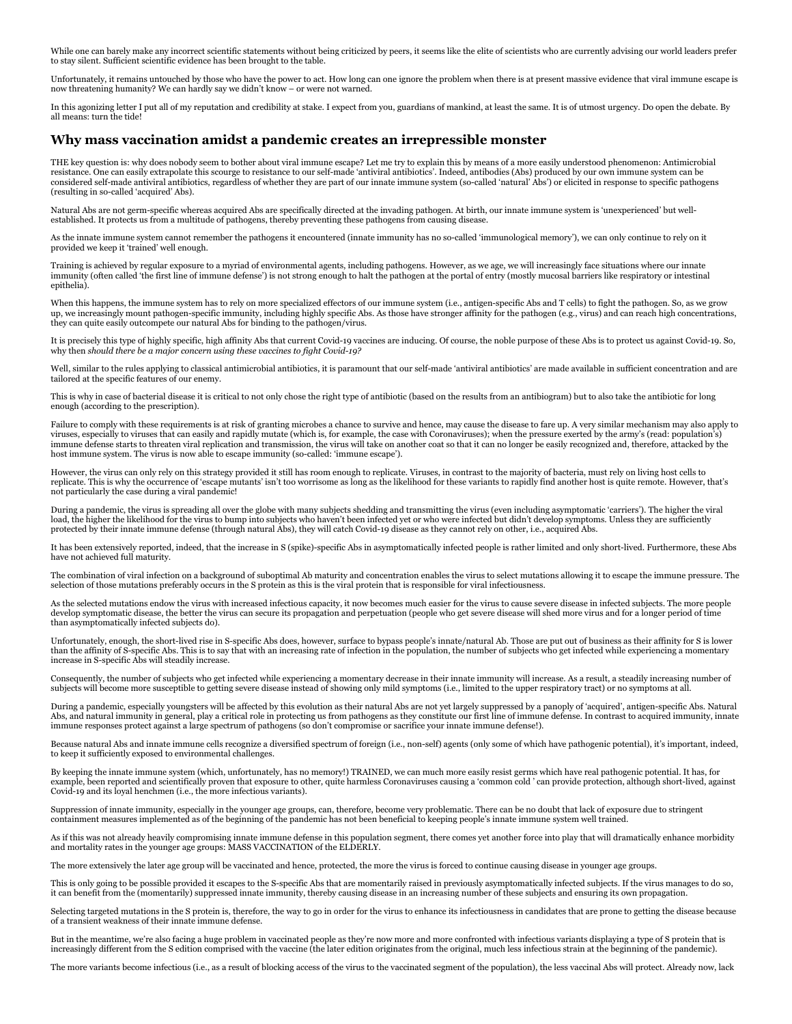While one can barely make any incorrect scientific statements without being criticized by peers, it seems like the elite of scientists who are currently advising our world leaders prefer to stay silent. Sufficient scientific evidence has been brought to the table.

Unfortunately, it remains untouched by those who have the power to act. How long can one ignore the problem when there is at present massive evidence that viral immune escape is now threatening humanity? We can hardly say we didn't know – or were not warned.

In this agonizing letter I put all of my reputation and credibility at stake. I expect from you, guardians of mankind, at least the same. It is of utmost urgency. Do open the debate. By all means: turn the tide!

# **Why mass vaccination amidst a pandemic creates an irrepressible monster**

THE key question is: why does nobody seem to bother about viral immune escape? Let me try to explain this by means of a more easily understood phenomenon: Antimicrobial resistance. One can easily extrapolate this scourge to resistance to our self-made 'antiviral antibiotics'. Indeed, antibodies (Abs) produced by our own immune system can be<br>considered self-made antiviral antibiotics, rega (resulting in so-called 'acquired' Abs).

Natural Abs are not germ-specific whereas acquired Abs are specifically directed at the invading pathogen. At birth, our innate immune system is 'unexperienced' but wellestablished. It protects us from a multitude of pathogens, thereby preventing these pathogens from causing disease.

As the innate immune system cannot remember the pathogens it encountered (innate immunity has no so-called 'immunological memory'), we can only continue to rely on it provided we keep it 'trained' well enough.

Training is achieved by regular exposure to a myriad of environmental agents, including pathogens. However, as we age, we will increasingly face situations where our innate immunity (often called 'the first line of immune defense') is not strong enough to halt the pathogen at the portal of entry (mostly mucosal barriers like respiratory or intestinal epithelia).

When this happens, the immune system has to rely on more specialized effectors of our immune system (i.e., antigen-specific Abs and T cells) to fight the pathogen. So, as we grow up, we increasingly mount pathogen-specific immunity, including highly specific Abs. As those have stronger affinity for the pathogen (e.g., virus) and can reach high concentrations, they can quite easily outcompete our natural Abs for binding to the pathogen/virus.

It is precisely this type of highly specific, high affinity Abs that current Covid-19 vaccines are inducing. Of course, the noble purpose of these Abs is to protect us against Covid-19. So, why then *should there be a major concern using these vaccines to fight Covid-19?*

Well, similar to the rules applying to classical antimicrobial antibiotics, it is paramount that our self-made 'antiviral antibiotics' are made available in sufficient concentration and are tailored at the specific features of our enemy.

This is why in case of bacterial disease it is critical to not only chose the right type of antibiotic (based on the results from an antibiogram) but to also take the antibiotic for long enough (according to the prescription).

Failure to comply with these requirements is at risk of granting microbes a chance to survive and hence, may cause the disease to fare up. A very similar mechanism may also apply to viruses, especially to viruses that can easily and rapidly mutate (which is, for example, the case with Coronaviruses); when the pressure exerted by the army's (read: population's) immune defense starts to threaten viral replication and transmission, the virus will take on another coat so that it can no longer be easily recognized and, therefore, attacked by the host immune system. The virus is now able to escape immunity (so-called: 'immune escape').

However, the virus can only rely on this strategy provided it still has room enough to replicate. Viruses, in contrast to the majority of bacteria, must rely on living host cells to<br>replicate. This is why the occurrence of not particularly the case during a viral pandemic!

During a pandemic, the virus is spreading all over the globe with many subjects shedding and transmitting the virus (even including asymptomatic 'carriers'). The higher the viral load, the higher the likelihood for the virus to bump into subjects who haven't been infected yet or who were infected but didn't develop symptoms. Unless they are sufficiently<br>protected by their innate immune defense (thr

It has been extensively reported, indeed, that the increase in S (spike)-specific Abs in asymptomatically infected people is rather limited and only short-lived. Furthermore, these Abs have not achieved full maturity.

The combination of viral infection on a background of suboptimal Ab maturity and concentration enables the virus to select mutations allowing it to escape the immune pressure. The selection of those mutations preferably occurs in the S protein as this is the viral protein that is responsible for viral infectiousness.

As the selected mutations endow the virus with increased infectious capacity, it now becomes much easier for the virus to cause severe disease in infected subjects. The more people develop symptomatic disease, the better the virus can secure its propagation and perpetuation (people who get severe disease will shed more virus and for a longer period of time than asymptomatically infected subjects do).

Unfortunately, enough, the short-lived rise in S-specific Abs does, however, surface to bypass people's innate/natural Ab. Those are put out of business as their affinity for S is lower than the affinity of S-specific Abs. This is to say that with an increasing rate of infection in the population, the number of subjects who get infected while experiencing a momentary increase in S-specific Abs will steadily increase.

Consequently, the number of subjects who get infected while experiencing a momentary decrease in their innate immunity will increase. As a result, a steadily increasing number of subjects will become more susceptible to getting severe disease instead of showing only mild symptoms (i.e., limited to the upper respiratory tract) or no symptoms at all.

During a pandemic, especially youngsters will be affected by this evolution as their natural Abs are not yet largely suppressed by a panoply of 'acquired', antigen-specific Abs. Natural Abs, and natural immunity in general, play a critical role in protecting us from pathogens as they constitute our first line of immune defense. In contrast to acquired immunity, innate immune responses protect against a large spectrum of pathogens (so don't compromise or sacrifice your innate immune defense!).

Because natural Abs and innate immune cells recognize a diversified spectrum of foreign (i.e., non-self) agents (only some of which have pathogenic potential), it's important, indeed, to keep it sufficiently exposed to environmental challenges.

By keeping the innate immune system (which, unfortunately, has no memory!) TRAINED, we can much more easily resist germs which have real pathogenic potential. It has, for example, been reported and scientifically proven that exposure to other, quite harmless Coronaviruses causing a 'common cold ' can provide protection, although short-lived, against Covid-19 and its loyal henchmen (i.e., the more infectious variants).

Suppression of innate immunity, especially in the younger age groups, can, therefore, become very problematic. There can be no doubt that lack of exposure due to stringent containment measures implemented as of the beginning of the pandemic has not been beneficial to keeping people's innate immune system well trained.

As if this was not already heavily compromising innate immune defense in this population segment, there comes yet another force into play that will dramatically enhance morbidity and mortality rates in the younger age groups: MASS VACCINATION of the ELDERLY.

The more extensively the later age group will be vaccinated and hence, protected, the more the virus is forced to continue causing disease in younger age groups.

This is only going to be possible provided it escapes to the S-specific Abs that are momentarily raised in previously asymptomatically infected subjects. If the virus manages to do so, it can benefit from the (momentarily) suppressed innate immunity, thereby causing disease in an increasing number of these subjects and ensuring its own propagation.

Selecting targeted mutations in the S protein is, therefore, the way to go in order for the virus to enhance its infectiousness in candidates that are prone to getting the disease because of a transient weakness of their innate immune defense.

But in the meantime, we're also facing a huge problem in vaccinated people as they're now more and more confronted with infectious variants displaying a type of S protein that is increasingly different from the S edition comprised with the vaccine (the later edition originates from the original, much less infectious strain at the beginning of the pandemic).

The more variants become infectious (i.e., as a result of blocking access of the virus to the vaccinated segment of the population), the less vaccinal Abs will protect. Already now, lack